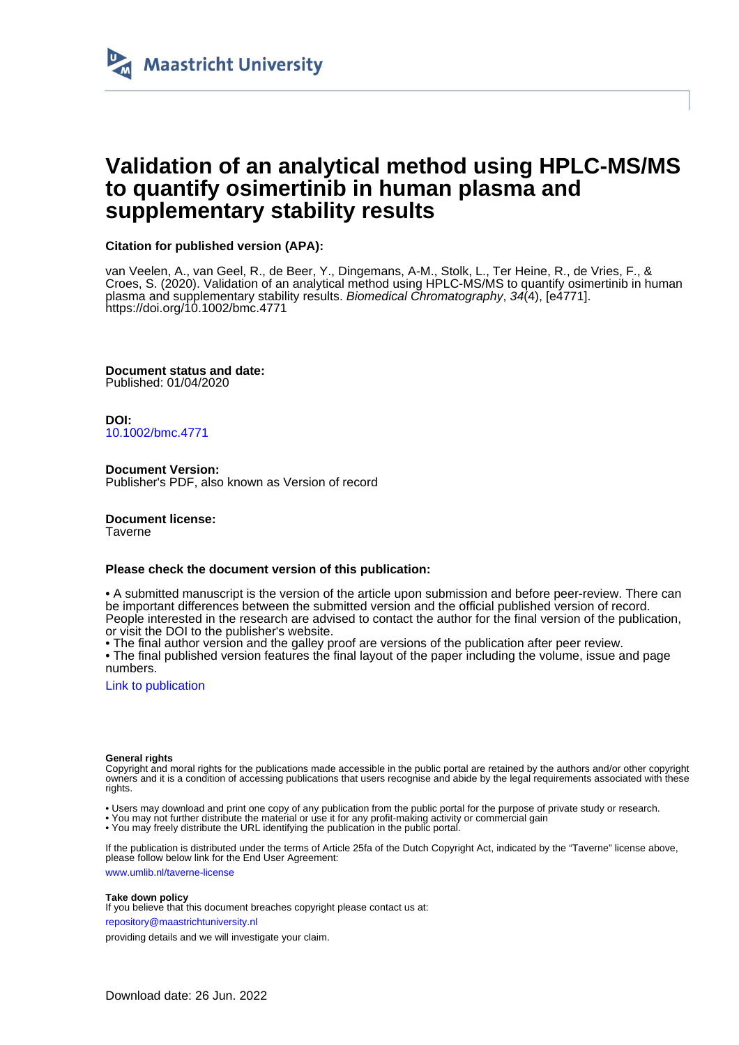

## **Validation of an analytical method using HPLC-MS/MS to quantify osimertinib in human plasma and supplementary stability results**

## **Citation for published version (APA):**

van Veelen, A., van Geel, R., de Beer, Y., Dingemans, A-M., Stolk, L., Ter Heine, R., de Vries, F., & Croes, S. (2020). Validation of an analytical method using HPLC-MS/MS to quantify osimertinib in human plasma and supplementary stability results. Biomedical Chromatography, 34(4), [e4771]. <https://doi.org/10.1002/bmc.4771>

**Document status and date:** Published: 01/04/2020

**DOI:** [10.1002/bmc.4771](https://doi.org/10.1002/bmc.4771)

**Document Version:** Publisher's PDF, also known as Version of record

**Document license:** Taverne

## **Please check the document version of this publication:**

• A submitted manuscript is the version of the article upon submission and before peer-review. There can be important differences between the submitted version and the official published version of record. People interested in the research are advised to contact the author for the final version of the publication, or visit the DOI to the publisher's website.

• The final author version and the galley proof are versions of the publication after peer review.

• The final published version features the final layout of the paper including the volume, issue and page numbers.

[Link to publication](https://cris.maastrichtuniversity.nl/en/publications/4b6dcdbf-28d4-4d26-88e6-1d2a5be5b78b)

#### **General rights**

Copyright and moral rights for the publications made accessible in the public portal are retained by the authors and/or other copyright owners and it is a condition of accessing publications that users recognise and abide by the legal requirements associated with these rights.

• Users may download and print one copy of any publication from the public portal for the purpose of private study or research.

• You may not further distribute the material or use it for any profit-making activity or commercial gain

• You may freely distribute the URL identifying the publication in the public portal

If the publication is distributed under the terms of Article 25fa of the Dutch Copyright Act, indicated by the "Taverne" license above, please follow below link for the End User Agreement:

www.umlib.nl/taverne-license

#### **Take down policy**

If you believe that this document breaches copyright please contact us at:

repository@maastrichtuniversity.nl

providing details and we will investigate your claim.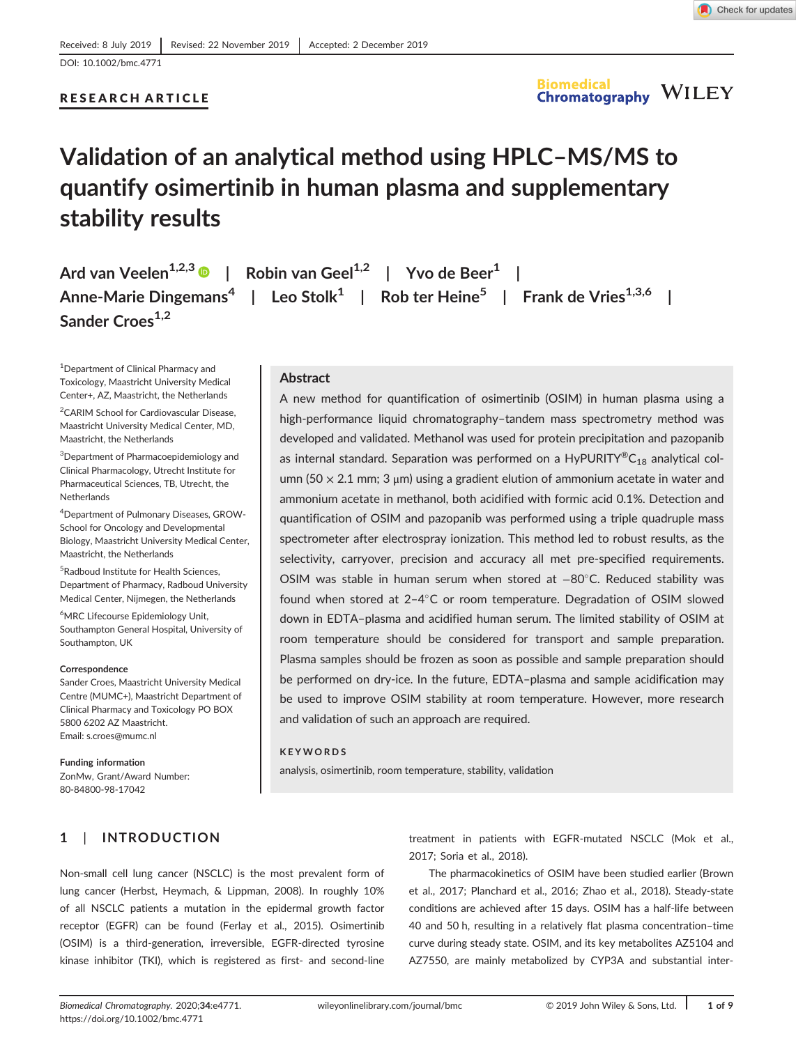## RESEARCH ARTICLE

# **Validation of an analytical method using HPLC–MS/MS to quantify osimertinib in human plasma and supplementary stability results**

**Ard van Veelen1,2,3 | Robin van Geel1,2 | Yvo de Beer1 | Anne-Marie Dingemans<sup>4</sup> | Leo Stolk<sup>1</sup> | Rob ter Heine5 | Frank de Vries1,3,6 | Sander Croes1,2**

1 Department of Clinical Pharmacy and Toxicology, Maastricht University Medical Center+, AZ, Maastricht, the Netherlands

<sup>2</sup>CARIM School for Cardiovascular Disease, Maastricht University Medical Center, MD, Maastricht, the Netherlands

3 Department of Pharmacoepidemiology and Clinical Pharmacology, Utrecht Institute for Pharmaceutical Sciences, TB, Utrecht, the Netherlands

4 Department of Pulmonary Diseases, GROW-School for Oncology and Developmental Biology, Maastricht University Medical Center, Maastricht, the Netherlands

5 Radboud Institute for Health Sciences, Department of Pharmacy, Radboud University Medical Center, Nijmegen, the Netherlands

6 MRC Lifecourse Epidemiology Unit, Southampton General Hospital, University of Southampton, UK

#### **Correspondence**

Sander Croes, Maastricht University Medical Centre (MUMC+), Maastricht Department of Clinical Pharmacy and Toxicology PO BOX 5800 6202 AZ Maastricht. Email: [s.croes@mumc.nl](mailto:s.croes@mumc.nl)

#### **Funding information**

ZonMw, Grant/Award Number: 80-84800-98-17042

## **Abstract**

A new method for quantification of osimertinib (OSIM) in human plasma using a high-performance liquid chromatography–tandem mass spectrometry method was developed and validated. Methanol was used for protein precipitation and pazopanib as internal standard. Separation was performed on a  $HypURITY^{\circledast}C_{18}$  analytical column (50  $\times$  2.1 mm; 3  $\mu$ m) using a gradient elution of ammonium acetate in water and ammonium acetate in methanol, both acidified with formic acid 0.1%. Detection and quantification of OSIM and pazopanib was performed using a triple quadruple mass spectrometer after electrospray ionization. This method led to robust results, as the selectivity, carryover, precision and accuracy all met pre-specified requirements. OSIM was stable in human serum when stored at −80°C. Reduced stability was found when stored at 2-4°C or room temperature. Degradation of OSIM slowed down in EDTA–plasma and acidified human serum. The limited stability of OSIM at room temperature should be considered for transport and sample preparation. Plasma samples should be frozen as soon as possible and sample preparation should be performed on dry-ice. In the future, EDTA–plasma and sample acidification may be used to improve OSIM stability at room temperature. However, more research and validation of such an approach are required.

#### **KEYWORDS**

analysis, osimertinib, room temperature, stability, validation

## **1** | **INTRODUCTION**

Non-small cell lung cancer (NSCLC) is the most prevalent form of lung cancer (Herbst, Heymach, & Lippman, 2008). In roughly 10% of all NSCLC patients a mutation in the epidermal growth factor receptor (EGFR) can be found (Ferlay et al., 2015). Osimertinib (OSIM) is a third-generation, irreversible, EGFR-directed tyrosine kinase inhibitor (TKI), which is registered as first- and second-line treatment in patients with EGFR-mutated NSCLC (Mok et al., 2017; Soria et al., 2018).

The pharmacokinetics of OSIM have been studied earlier (Brown et al., 2017; Planchard et al., 2016; Zhao et al., 2018). Steady-state conditions are achieved after 15 days. OSIM has a half-life between 40 and 50 h, resulting in a relatively flat plasma concentration–time curve during steady state. OSIM, and its key metabolites AZ5104 and AZ7550, are mainly metabolized by CYP3A and substantial inter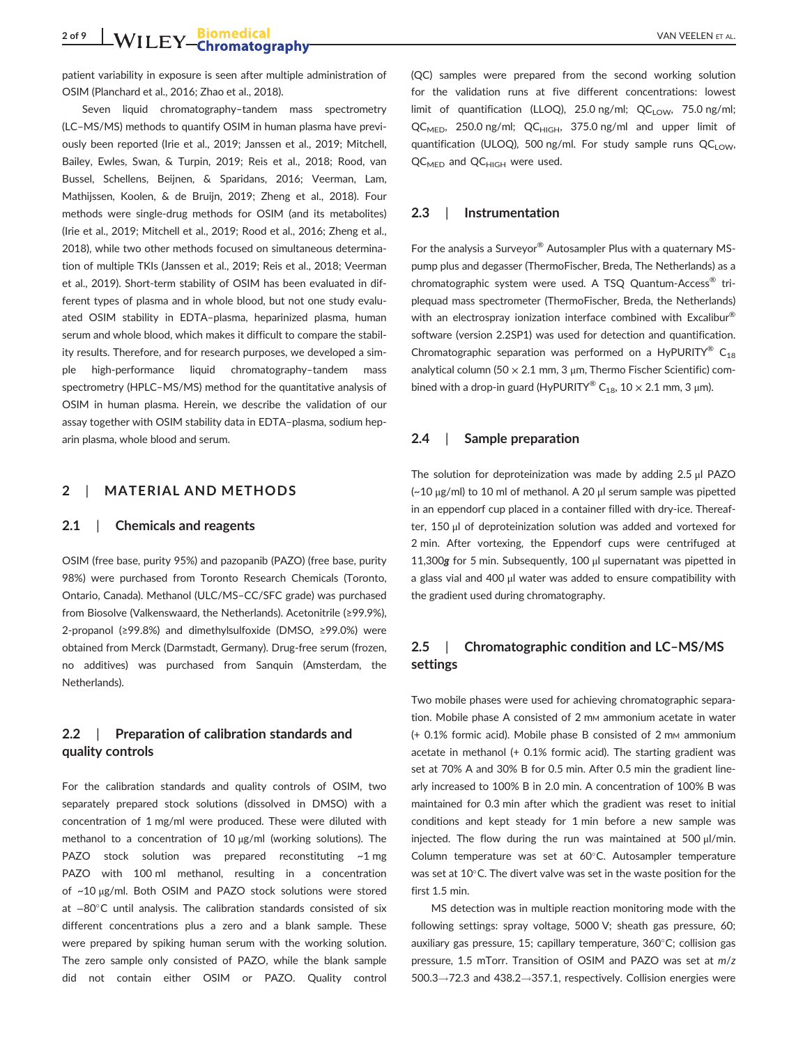patient variability in exposure is seen after multiple administration of OSIM (Planchard et al., 2016; Zhao et al., 2018).

Seven liquid chromatography–tandem mass spectrometry (LC–MS/MS) methods to quantify OSIM in human plasma have previously been reported (Irie et al., 2019; Janssen et al., 2019; Mitchell, Bailey, Ewles, Swan, & Turpin, 2019; Reis et al., 2018; Rood, van Bussel, Schellens, Beijnen, & Sparidans, 2016; Veerman, Lam, Mathijssen, Koolen, & de Bruijn, 2019; Zheng et al., 2018). Four methods were single-drug methods for OSIM (and its metabolites) (Irie et al., 2019; Mitchell et al., 2019; Rood et al., 2016; Zheng et al., 2018), while two other methods focused on simultaneous determination of multiple TKIs (Janssen et al., 2019; Reis et al., 2018; Veerman et al., 2019). Short-term stability of OSIM has been evaluated in different types of plasma and in whole blood, but not one study evaluated OSIM stability in EDTA–plasma, heparinized plasma, human serum and whole blood, which makes it difficult to compare the stability results. Therefore, and for research purposes, we developed a simple high-performance liquid chromatography–tandem mass spectrometry (HPLC–MS/MS) method for the quantitative analysis of OSIM in human plasma. Herein, we describe the validation of our assay together with OSIM stability data in EDTA–plasma, sodium heparin plasma, whole blood and serum.

## **2** | **MATERIAL AND METHODS**

### **2.1** | **Chemicals and reagents**

OSIM (free base, purity 95%) and pazopanib (PAZO) (free base, purity 98%) were purchased from Toronto Research Chemicals (Toronto, Ontario, Canada). Methanol (ULC/MS–CC/SFC grade) was purchased from Biosolve (Valkenswaard, the Netherlands). Acetonitrile (≥99.9%), 2-propanol (≥99.8%) and dimethylsulfoxide (DMSO, ≥99.0%) were obtained from Merck (Darmstadt, Germany). Drug-free serum (frozen, no additives) was purchased from Sanquin (Amsterdam, the Netherlands).

## **2.2** | **Preparation of calibration standards and quality controls**

For the calibration standards and quality controls of OSIM, two separately prepared stock solutions (dissolved in DMSO) with a concentration of 1 mg/ml were produced. These were diluted with methanol to a concentration of 10 μg/ml (working solutions). The PAZO stock solution was prepared reconstituting ~1 mg PAZO with 100 ml methanol, resulting in a concentration of ~10 μg/ml. Both OSIM and PAZO stock solutions were stored at −80°C until analysis. The calibration standards consisted of six different concentrations plus a zero and a blank sample. These were prepared by spiking human serum with the working solution. The zero sample only consisted of PAZO, while the blank sample did not contain either OSIM or PAZO. Quality control (QC) samples were prepared from the second working solution for the validation runs at five different concentrations: lowest limit of quantification (LLOQ), 25.0 ng/ml;  $QC_{LOW}$ , 75.0 ng/ml;  $QC_{MED}$ , 250.0 ng/ml;  $QC_{HIGH}$ , 375.0 ng/ml and upper limit of quantification (ULOQ), 500 ng/ml. For study sample runs  $QC_{LOW}$ , QC<sub>MED</sub> and QC<sub>HIGH</sub> were used.

## **2.3** | **Instrumentation**

For the analysis a Surveyor® Autosampler Plus with a quaternary MSpump plus and degasser (ThermoFischer, Breda, The Netherlands) as a chromatographic system were used. A TSQ Quantum-Access<sup>®</sup> triplequad mass spectrometer (ThermoFischer, Breda, the Netherlands) with an electrospray ionization interface combined with Excalibur<sup>®</sup> software (version 2.2SP1) was used for detection and quantification. Chromatographic separation was performed on a HyPURITY®  $C_{18}$ analytical column (50  $\times$  2.1 mm, 3  $\mu$ m, Thermo Fischer Scientific) combined with a drop-in guard (HyPURITY® C<sub>18</sub>,  $10 \times 2.1$  mm, 3  $\mu$ m).

## **2.4** | **Sample preparation**

The solution for deproteinization was made by adding 2.5 μl PAZO (~10 μg/ml) to 10 ml of methanol. A 20 μl serum sample was pipetted in an eppendorf cup placed in a container filled with dry-ice. Thereafter, 150 μl of deproteinization solution was added and vortexed for 2 min. After vortexing, the Eppendorf cups were centrifuged at 11,300*g* for 5 min. Subsequently, 100 <sup>μ</sup>l supernatant was pipetted in a glass vial and 400 μl water was added to ensure compatibility with the gradient used during chromatography.

## **2.5** | **Chromatographic condition and LC–MS/MS settings**

Two mobile phases were used for achieving chromatographic separation. Mobile phase A consisted of 2 mm ammonium acetate in water  $(+ 0.1\%$  formic acid). Mobile phase B consisted of 2 mm ammonium acetate in methanol (+ 0.1% formic acid). The starting gradient was set at 70% A and 30% B for 0.5 min. After 0.5 min the gradient linearly increased to 100% B in 2.0 min. A concentration of 100% B was maintained for 0.3 min after which the gradient was reset to initial conditions and kept steady for 1 min before a new sample was injected. The flow during the run was maintained at 500 μl/min. Column temperature was set at  $60^{\circ}$ C. Autosampler temperature was set at  $10^{\circ}$ C. The divert valve was set in the waste position for the first 1.5 min.

MS detection was in multiple reaction monitoring mode with the following settings: spray voltage, 5000 V; sheath gas pressure, 60; auxiliary gas pressure, 15; capillary temperature, 360°C; collision gas pressure, 1.5 mTorr. Transition of OSIM and PAZO was set at *m*/*z*  $500.3 \rightarrow 72.3$  and  $438.2 \rightarrow 357.1$ , respectively. Collision energies were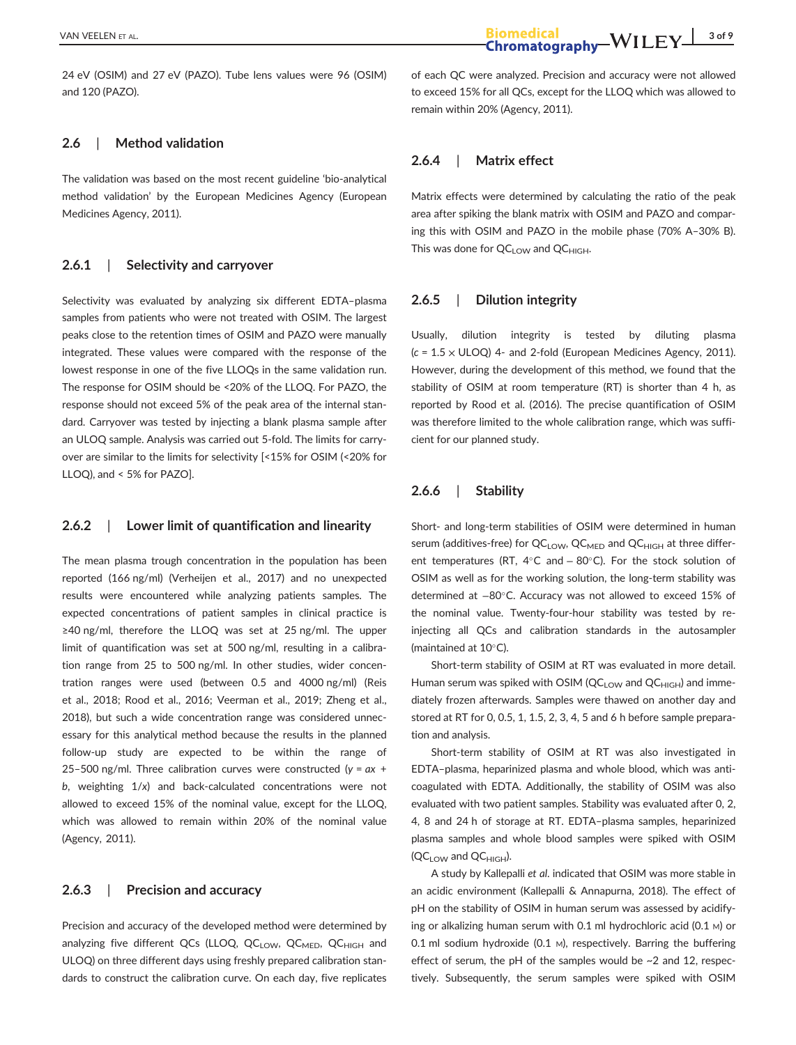24 eV (OSIM) and 27 eV (PAZO). Tube lens values were 96 (OSIM) and 120 (PAZO).

## **2.6** | **Method validation**

The validation was based on the most recent guideline 'bio-analytical method validation' by the European Medicines Agency (European Medicines Agency, 2011).

## **2.6.1** | **Selectivity and carryover**

Selectivity was evaluated by analyzing six different EDTA–plasma samples from patients who were not treated with OSIM. The largest peaks close to the retention times of OSIM and PAZO were manually integrated. These values were compared with the response of the lowest response in one of the five LLOQs in the same validation run. The response for OSIM should be <20% of the LLOQ. For PAZO, the response should not exceed 5% of the peak area of the internal standard. Carryover was tested by injecting a blank plasma sample after an ULOQ sample. Analysis was carried out 5-fold. The limits for carryover are similar to the limits for selectivity [<15% for OSIM (<20% for LLOQ), and < 5% for PAZO].

### **2.6.2** | **Lower limit of quantification and linearity**

The mean plasma trough concentration in the population has been reported (166 ng/ml) (Verheijen et al., 2017) and no unexpected results were encountered while analyzing patients samples. The expected concentrations of patient samples in clinical practice is ≥40 ng/ml, therefore the LLOQ was set at 25 ng/ml. The upper limit of quantification was set at 500 ng/ml, resulting in a calibration range from 25 to 500 ng/ml. In other studies, wider concentration ranges were used (between 0.5 and 4000 ng/ml) (Reis et al., 2018; Rood et al., 2016; Veerman et al., 2019; Zheng et al., 2018), but such a wide concentration range was considered unnecessary for this analytical method because the results in the planned follow-up study are expected to be within the range of 25–500 ng/ml. Three calibration curves were constructed (*y* = *ax* + *b*, weighting 1/*x*) and back-calculated concentrations were not allowed to exceed 15% of the nominal value, except for the LLOQ, which was allowed to remain within 20% of the nominal value (Agency, 2011).

## **2.6.3** | **Precision and accuracy**

Precision and accuracy of the developed method were determined by analyzing five different QCs (LLOQ, QC<sub>LOW</sub>, QC<sub>MED</sub>, QC<sub>HIGH</sub> and ULOQ) on three different days using freshly prepared calibration standards to construct the calibration curve. On each day, five replicates of each QC were analyzed. Precision and accuracy were not allowed to exceed 15% for all QCs, except for the LLOQ which was allowed to remain within 20% (Agency, 2011).

## **2.6.4** | **Matrix effect**

Matrix effects were determined by calculating the ratio of the peak area after spiking the blank matrix with OSIM and PAZO and comparing this with OSIM and PAZO in the mobile phase (70% A–30% B). This was done for  $QC_{LOW}$  and  $QC_{HIGH}$ .

## **2.6.5** | **Dilution integrity**

Usually, dilution integrity is tested by diluting plasma (*c* = 1.5 × ULOQ) 4- and 2-fold (European Medicines Agency, 2011). However, during the development of this method, we found that the stability of OSIM at room temperature (RT) is shorter than 4 h, as reported by Rood et al. (2016). The precise quantification of OSIM was therefore limited to the whole calibration range, which was sufficient for our planned study.

## **2.6.6** | **Stability**

Short- and long-term stabilities of OSIM were determined in human serum (additives-free) for  $QC_{LOW}$ ,  $QC_{MED}$  and  $QC_{HIGH}$  at three different temperatures (RT,  $4^{\circ}$ C and  $-80^{\circ}$ C). For the stock solution of OSIM as well as for the working solution, the long-term stability was determined at −80°C. Accuracy was not allowed to exceed 15% of the nominal value. Twenty-four-hour stability was tested by reinjecting all QCs and calibration standards in the autosampler (maintained at  $10^{\circ}$ C).

Short-term stability of OSIM at RT was evaluated in more detail. Human serum was spiked with OSIM ( $QC_{LOW}$  and  $QC_{HIGH}$ ) and immediately frozen afterwards. Samples were thawed on another day and stored at RT for 0, 0.5, 1, 1.5, 2, 3, 4, 5 and 6 h before sample preparation and analysis.

Short-term stability of OSIM at RT was also investigated in EDTA–plasma, heparinized plasma and whole blood, which was anticoagulated with EDTA. Additionally, the stability of OSIM was also evaluated with two patient samples. Stability was evaluated after 0, 2, 4, 8 and 24 h of storage at RT. EDTA–plasma samples, heparinized plasma samples and whole blood samples were spiked with OSIM  $(QC_{LOW}$  and  $QC_{HIGH}$ ).

A study by Kallepalli *et al*. indicated that OSIM was more stable in an acidic environment (Kallepalli & Annapurna, 2018). The effect of pH on the stability of OSIM in human serum was assessed by acidifying or alkalizing human serum with 0.1 ml hydrochloric acid (0.1 M) or 0.1 ml sodium hydroxide (0.1 M), respectively. Barring the buffering effect of serum, the pH of the samples would be  $\sim$ 2 and 12, respectively. Subsequently, the serum samples were spiked with OSIM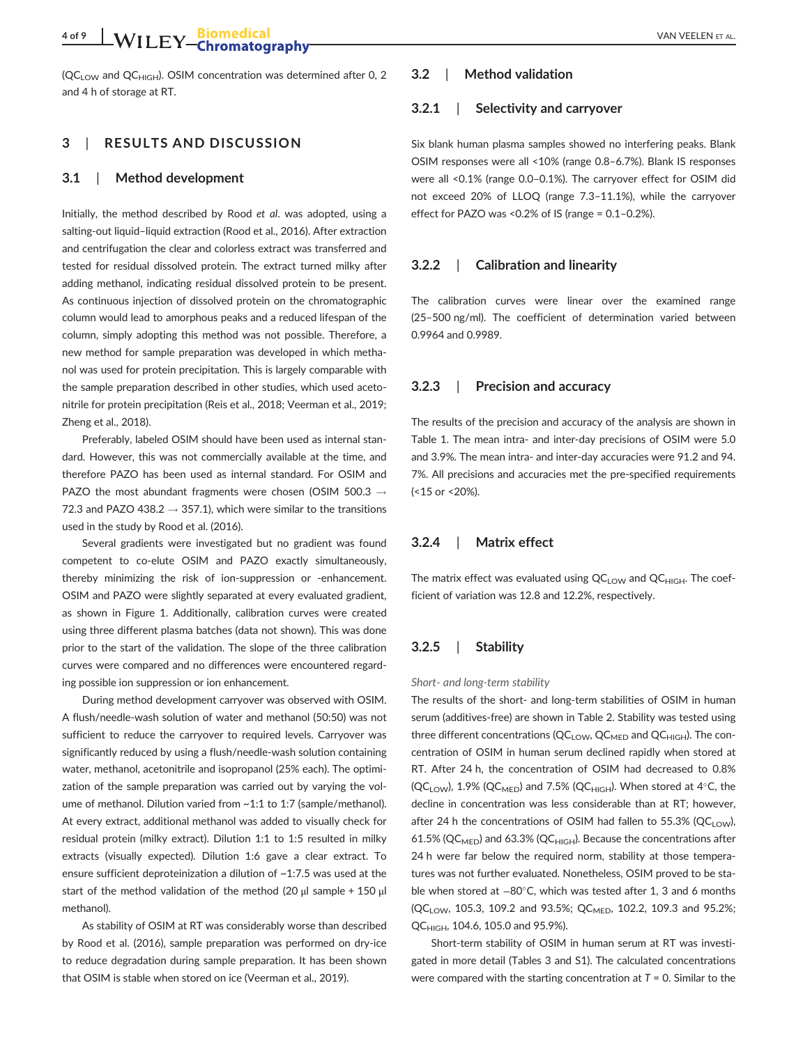## **4 of 9** VAN VEELEN ET AL.

 $(QC<sub>LOW</sub>$  and  $QC<sub>HIGH</sub>$ ). OSIM concentration was determined after 0, 2 and 4 h of storage at RT.

## **3** | **RESULTS AND DISCUSSION**

#### **3.1** | **Method development**

Initially, the method described by Rood *et al*. was adopted, using a salting-out liquid–liquid extraction (Rood et al., 2016). After extraction and centrifugation the clear and colorless extract was transferred and tested for residual dissolved protein. The extract turned milky after adding methanol, indicating residual dissolved protein to be present. As continuous injection of dissolved protein on the chromatographic column would lead to amorphous peaks and a reduced lifespan of the column, simply adopting this method was not possible. Therefore, a new method for sample preparation was developed in which methanol was used for protein precipitation. This is largely comparable with the sample preparation described in other studies, which used acetonitrile for protein precipitation (Reis et al., 2018; Veerman et al., 2019; Zheng et al., 2018).

Preferably, labeled OSIM should have been used as internal standard. However, this was not commercially available at the time, and therefore PAZO has been used as internal standard. For OSIM and PAZO the most abundant fragments were chosen (OSIM 500.3  $\rightarrow$ 72.3 and PAZO 438.2  $\rightarrow$  357.1), which were similar to the transitions used in the study by Rood et al. (2016).

Several gradients were investigated but no gradient was found competent to co-elute OSIM and PAZO exactly simultaneously, thereby minimizing the risk of ion-suppression or -enhancement. OSIM and PAZO were slightly separated at every evaluated gradient, as shown in Figure 1. Additionally, calibration curves were created using three different plasma batches (data not shown). This was done prior to the start of the validation. The slope of the three calibration curves were compared and no differences were encountered regarding possible ion suppression or ion enhancement.

During method development carryover was observed with OSIM. A flush/needle-wash solution of water and methanol (50:50) was not sufficient to reduce the carryover to required levels. Carryover was significantly reduced by using a flush/needle-wash solution containing water, methanol, acetonitrile and isopropanol (25% each). The optimization of the sample preparation was carried out by varying the volume of methanol. Dilution varied from ~1:1 to 1:7 (sample/methanol). At every extract, additional methanol was added to visually check for residual protein (milky extract). Dilution 1:1 to 1:5 resulted in milky extracts (visually expected). Dilution 1:6 gave a clear extract. To ensure sufficient deproteinization a dilution of ~1:7.5 was used at the start of the method validation of the method (20 μl sample + 150 μl methanol).

As stability of OSIM at RT was considerably worse than described by Rood et al. (2016), sample preparation was performed on dry-ice to reduce degradation during sample preparation. It has been shown that OSIM is stable when stored on ice (Veerman et al., 2019).

## **3.2** | **Method validation**

## **3.2.1** | **Selectivity and carryover**

Six blank human plasma samples showed no interfering peaks. Blank OSIM responses were all <10% (range 0.8–6.7%). Blank IS responses were all <0.1% (range 0.0–0.1%). The carryover effect for OSIM did not exceed 20% of LLOQ (range 7.3–11.1%), while the carryover effect for PAZO was <0.2% of IS (range = 0.1–0.2%).

### **3.2.2** | **Calibration and linearity**

The calibration curves were linear over the examined range (25–500 ng/ml). The coefficient of determination varied between 0.9964 and 0.9989.

#### **3.2.3** | **Precision and accuracy**

The results of the precision and accuracy of the analysis are shown in Table 1. The mean intra- and inter-day precisions of OSIM were 5.0 and 3.9%. The mean intra- and inter-day accuracies were 91.2 and 94. 7%. All precisions and accuracies met the pre-specified requirements (<15 or <20%).

## **3.2.4** | **Matrix effect**

The matrix effect was evaluated using  $QC_{LOW}$  and  $QC_{HIGH}$ . The coefficient of variation was 12.8 and 12.2%, respectively.

#### **3.2.5** | **Stability**

#### *Short- and long-term stability*

The results of the short- and long-term stabilities of OSIM in human serum (additives-free) are shown in Table 2. Stability was tested using three different concentrations ( $QC_{\text{LOW}}$ ,  $QC_{\text{MED}}$  and  $QC_{\text{HIGH}}$ ). The concentration of OSIM in human serum declined rapidly when stored at RT. After 24 h, the concentration of OSIM had decreased to 0.8%  $(QC_{LOW})$ , 1.9%  $(QC_{MED})$  and 7.5%  $(QC_{HIGH})$ . When stored at 4°C, the decline in concentration was less considerable than at RT; however, after 24 h the concentrations of OSIM had fallen to 55.3% (QC<sub>LOW</sub>), 61.5% (QC<sub>MED</sub>) and 63.3% (QC<sub>HIGH</sub>). Because the concentrations after 24 h were far below the required norm, stability at those temperatures was not further evaluated. Nonetheless, OSIM proved to be stable when stored at −80°C, which was tested after 1, 3 and 6 months (QC<sub>LOW</sub>, 105.3, 109.2 and 93.5%; QC<sub>MED</sub>, 102.2, 109.3 and 95.2%; QCHIGH, 104.6, 105.0 and 95.9%).

Short-term stability of OSIM in human serum at RT was investigated in more detail (Tables 3 and S1). The calculated concentrations were compared with the starting concentration at *T* = 0. Similar to the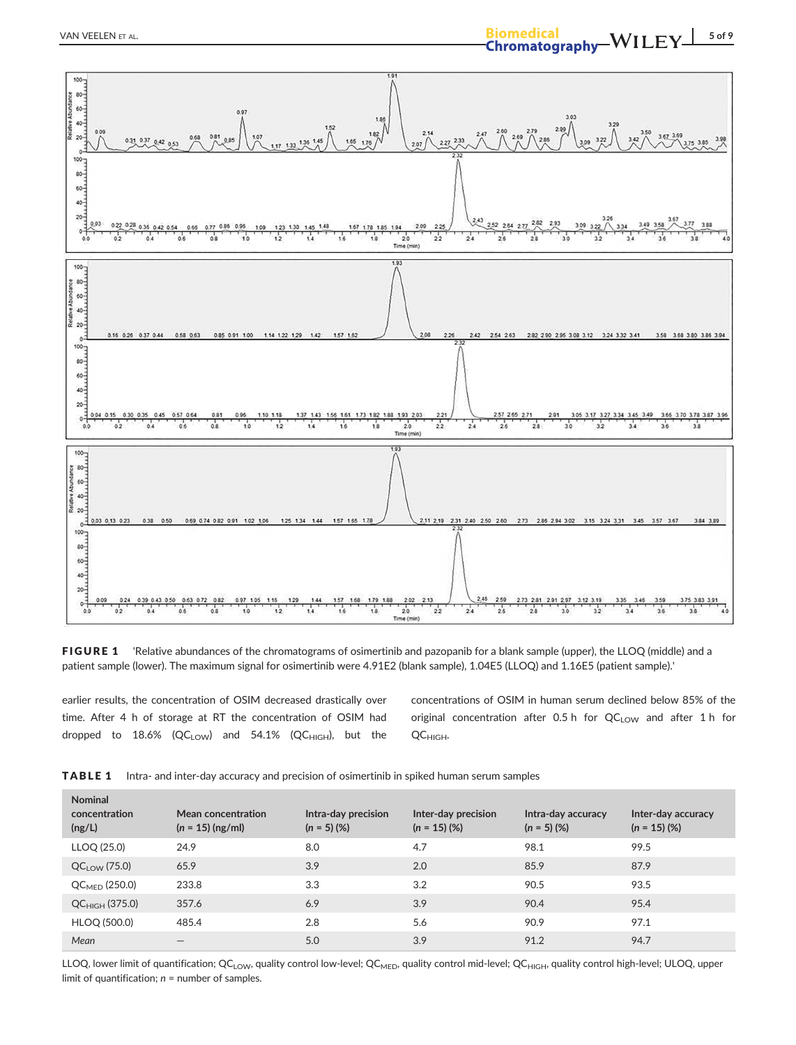

FIGURE 1 'Relative abundances of the chromatograms of osimertinib and pazopanib for a blank sample (upper), the LLOQ (middle) and a patient sample (lower). The maximum signal for osimertinib were 4.91E2 (blank sample), 1.04E5 (LLOQ) and 1.16E5 (patient sample).'

earlier results, the concentration of OSIM decreased drastically over time. After 4 h of storage at RT the concentration of OSIM had dropped to  $18.6\%$  (QC<sub>LOW</sub>) and  $54.1\%$  (QC<sub>HIGH</sub>), but the concentrations of OSIM in human serum declined below 85% of the original concentration after 0.5 h for  $QC_{LOW}$  and after 1 h for QC<sub>HIGH</sub>.

| <b>Nominal</b><br>concentration<br>(ng/L) | Mean concentration<br>$(n = 15)$ (ng/ml) | Intra-day precision<br>$(n = 5)$ (%) | Inter-day precision<br>$(n = 15)$ (%) | Intra-day accuracy<br>$(n = 5)$ (%) | Inter-day accuracy<br>$(n = 15)$ (%) |
|-------------------------------------------|------------------------------------------|--------------------------------------|---------------------------------------|-------------------------------------|--------------------------------------|
| LLOQ (25.0)                               | 24.9                                     | 8.0                                  | 4.7                                   | 98.1                                | 99.5                                 |
| $QC_{LOW}$ (75.0)                         | 65.9                                     | 3.9                                  | 2.0                                   | 85.9                                | 87.9                                 |
| $QC_{\text{MFD}}(250.0)$                  | 233.8                                    | 3.3                                  | 3.2                                   | 90.5                                | 93.5                                 |
| $QC_{HIGH}$ (375.0)                       | 357.6                                    | 6.9                                  | 3.9                                   | 90.4                                | 95.4                                 |
| HLOQ (500.0)                              | 485.4                                    | 2.8                                  | 5.6                                   | 90.9                                | 97.1                                 |
| Mean                                      |                                          | 5.0                                  | 3.9                                   | 91.2                                | 94.7                                 |

TABLE 1 Intra- and inter-day accuracy and precision of osimertinib in spiked human serum samples

LLOQ, lower limit of quantification; QC<sub>LOW</sub>, quality control low-level; QC<sub>MED</sub>, quality control mid-level; QC<sub>HIGH</sub>, quality control high-level; ULOQ, upper limit of quantification; *n* = number of samples.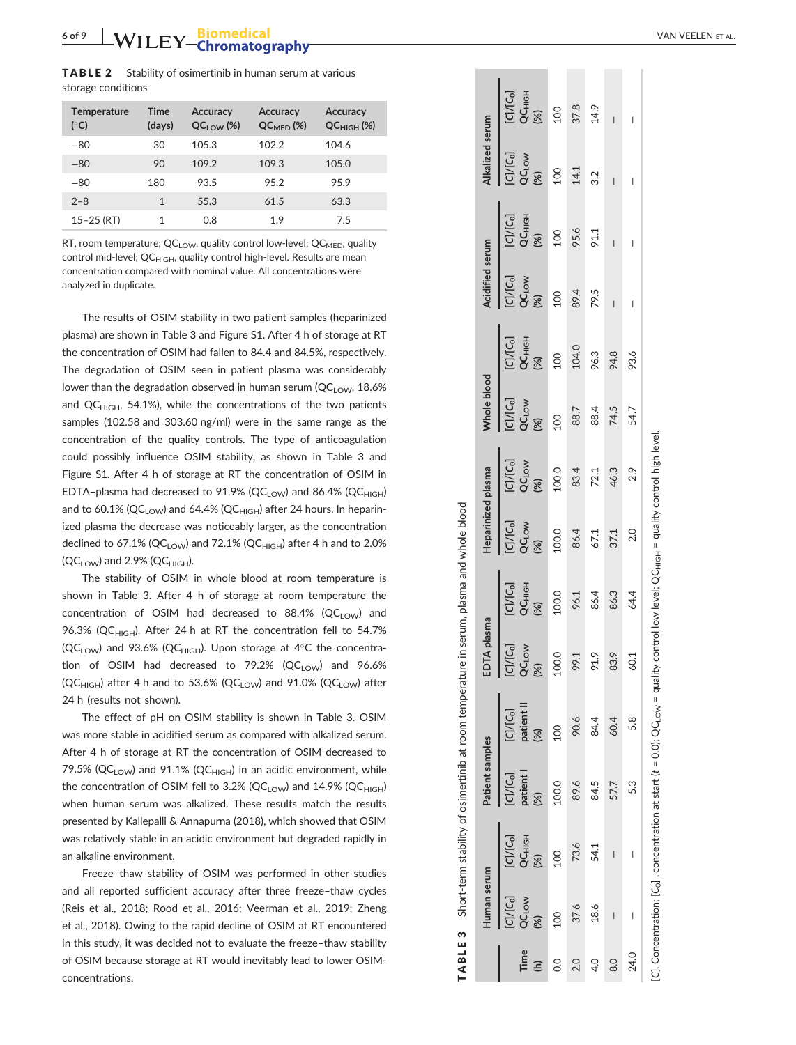TABLE 2 Stability of osimertinib in human serum at various storage conditions

| <b>Temperature</b><br>$(^{\circ}C)$ | <b>Time</b><br>(days) | <b>Accuracy</b><br>$QClow$ (%) | <b>Accuracy</b><br>$QCMPD$ (%) | <b>Accuracy</b><br>$QC_{HIGH}$ (%) |
|-------------------------------------|-----------------------|--------------------------------|--------------------------------|------------------------------------|
| $-80$                               | 30                    | 105.3                          | 102.2                          | 104.6                              |
| $-80$                               | 90                    | 109.2                          | 109.3                          | 105.0                              |
| $-80$                               | 180                   | 93.5                           | 95.2                           | 95.9                               |
| $2 - 8$                             | 1                     | 55.3                           | 61.5                           | 63.3                               |
| $15 - 25$ (RT)                      | 1                     | 0.8                            | 1.9                            | 7.5                                |

RT, room temperature;  $QC_{LOW}$ , quality control low-level;  $QC_{MED}$ , quality control mid-level;  $QC_{HIGH}$ , quality control high-level. Results are mean concentration compared with nominal value. All concentrations were analyzed in duplicate.

The results of OSIM stability in two patient samples (heparinized plasma) are shown in Table 3 and Figure S1. After 4 h of storage at RT the concentration of OSIM had fallen to 84.4 and 84.5%, respectively. The degradation of OSIM seen in patient plasma was considerably lower than the degradation observed in human serum ( $QC_{LOW}$ , 18.6% and  $QC_{HIGH}$ , 54.1%), while the concentrations of the two patients samples (102.58 and 303.60 ng/ml) were in the same range as the concentration of the quality controls. The type of anticoagulation could possibly influence OSIM stability, as shown in Table 3 and Figure S1. After 4 h of storage at RT the concentration of OSIM in  $EDTA$ -plasma had decreased to 91.9% (QC<sub>LOW</sub>) and 86.4% (QC<sub>HIGH</sub>) and to 60.1% (QC<sub>LOW</sub>) and 64.4% (QC<sub>HIGH</sub>) after 24 hours. In heparinized plasma the decrease was noticeably larger, as the concentration declined to 67.1% (QC<sub>LOW</sub>) and 72.1% (QC<sub>HIGH</sub>) after 4 h and to 2.0%  $(QC_{LOW})$  and 2.9%  $(QC_{HIGH})$ .

The stability of OSIM in whole blood at room temperature is shown in Table 3. After 4 h of storage at room temperature the concentration of OSIM had decreased to  $88.4\%$  (QC<sub>LOW</sub>) and 96.3% (QC<sub>HIGH</sub>). After 24 h at RT the concentration fell to 54.7% (QC<sub>LOW</sub>) and 93.6% (QC<sub>HIGH</sub>). Upon storage at 4°C the concentration of OSIM had decreased to  $79.2\%$  (QC<sub>LOW</sub>) and  $96.6\%$  $(QC_{HIGH})$  after 4 h and to 53.6%  $(QC_{LOW})$  and 91.0%  $(QC_{LOW})$  after 24 h (results not shown).

The effect of pH on OSIM stability is shown in Table 3. OSIM was more stable in acidified serum as compared with alkalized serum. After 4 h of storage at RT the concentration of OSIM decreased to 79.5% (QC<sub>LOW</sub>) and 91.1% (QC<sub>HIGH</sub>) in an acidic environment, while the concentration of OSIM fell to 3.2% (QC<sub>LOW</sub>) and 14.9% (QC<sub>HIGH</sub>) when human serum was alkalized. These results match the results presented by Kallepalli & Annapurna (2018), which showed that OSIM was relatively stable in an acidic environment but degraded rapidly in an alkaline environment.

Freeze –thaw stability of OSIM was performed in other studies and all reported sufficient accuracy after three freeze –thaw cycles (Reis et al., 2018; Rood et al., 2016; Veerman et al., 2019; Zheng et al., 2018). Owing to the rapid decline of OSIM at RT encountered in this study, it was decided not to evaluate the freeze –thaw stability of OSIM because storage at RT would inevitably lead to lower OSIMconcentrations.

|             | Human serum                                      |                                                   | Patient samples                   |                                                                                                                                                                         | EDTA plasma                                       |                                                       | <b>Heparinized plasma</b>                                       |                                                               | <b>Vhole blood</b>                                                       |                                                                            | <b>Acidified serum</b>                |                                                                    | <b>Jkalized</b> serum                                     |                                |
|-------------|--------------------------------------------------|---------------------------------------------------|-----------------------------------|-------------------------------------------------------------------------------------------------------------------------------------------------------------------------|---------------------------------------------------|-------------------------------------------------------|-----------------------------------------------------------------|---------------------------------------------------------------|--------------------------------------------------------------------------|----------------------------------------------------------------------------|---------------------------------------|--------------------------------------------------------------------|-----------------------------------------------------------|--------------------------------|
| Time<br>(h) | [C]/[C <sub>o]</sub><br>QC <sub>LOW</sub><br>(%) | $[C]/[C_{0}]$<br>QC <sub>HIGH</sub><br>(%)<br>100 | $[C]/[C_0]$<br>patient l<br>$(%)$ | $\begin{array}{l} \text{[C]/[C_0]}\\ \text{patient II}\\ \text{(96)}\\ 100 \end{array}$                                                                                 | [C]/[C <sub>o</sub> ]<br>QC <sub>LOW</sub><br>(%) | ICI/ICol<br>QC <sub>HIGH</sub><br>(%)<br>96.1<br>96.4 | 10/100<br><b>QC</b> Low<br>2000<br>2000<br>2000<br>2000<br>2000 | ECHCol<br>COLOM 200<br>100.0<br>100.0<br>146.3<br>46.3<br>2.9 | [C]/[C <sub>o</sub> ]<br>QC <sub>Low</sub><br>(%)<br>100<br>88.7<br>88.4 | [C]/[C <sub>o</sub> ]<br>QC <sub>НІGН</sub><br>(%)<br>100<br>104.0<br>96.3 | 10/100<br>000<br>000<br>000 4<br>79.5 | [C]/[C <sub>o</sub> ]<br>QC <sub>HIGH</sub><br>(%)<br>95.6<br>95.6 | <b>C/ICol</b><br>QC <sub>LOW</sub><br>200<br>14.1<br>14.1 | $[CI/ICd]QCHIGH(%)10037.814.9$ |
| 0.0         | 100                                              |                                                   | 100.0                             |                                                                                                                                                                         | 100.0                                             |                                                       |                                                                 |                                                               |                                                                          |                                                                            |                                       |                                                                    |                                                           |                                |
| 2.0         | 37.6                                             | 73.6                                              | 89.6                              | 90.6                                                                                                                                                                    | 99.1                                              |                                                       |                                                                 |                                                               |                                                                          |                                                                            |                                       |                                                                    |                                                           |                                |
| 4.0         | 18.6                                             | 54.1                                              | 84.5                              | 84.4                                                                                                                                                                    | 91.9                                              |                                                       |                                                                 |                                                               |                                                                          |                                                                            |                                       |                                                                    | 3.2                                                       |                                |
| 8.0         |                                                  |                                                   | 57.7                              | 60.4                                                                                                                                                                    | 83.9                                              | 86.3                                                  |                                                                 |                                                               | 74.5<br>54.7                                                             | 94.8                                                                       |                                       |                                                                    |                                                           |                                |
| 24.0        | $\bar{1}$                                        | $\overline{\phantom{a}}$                          | 5.3                               | 5.8                                                                                                                                                                     | 60.1                                              | 64.4                                                  |                                                                 |                                                               |                                                                          | 93.6                                                                       |                                       |                                                                    |                                                           |                                |
|             |                                                  |                                                   |                                   | [C], Concentration; [C <sub>o</sub> ], concentration at start (t = 0.0); QC <sub>LOW</sub> = quality control low level; QC <sub>HGH</sub> = quality control high level. |                                                   |                                                       |                                                                 |                                                               |                                                                          |                                                                            |                                       |                                                                    |                                                           |                                |

TABLE 3 Short-term stability of osimertinib at room temperature in serum, plasma and whole blood

 $\infty$ 

TABLE

Short-term stability of osimertinib at room temperature in serum, plasma and whole blood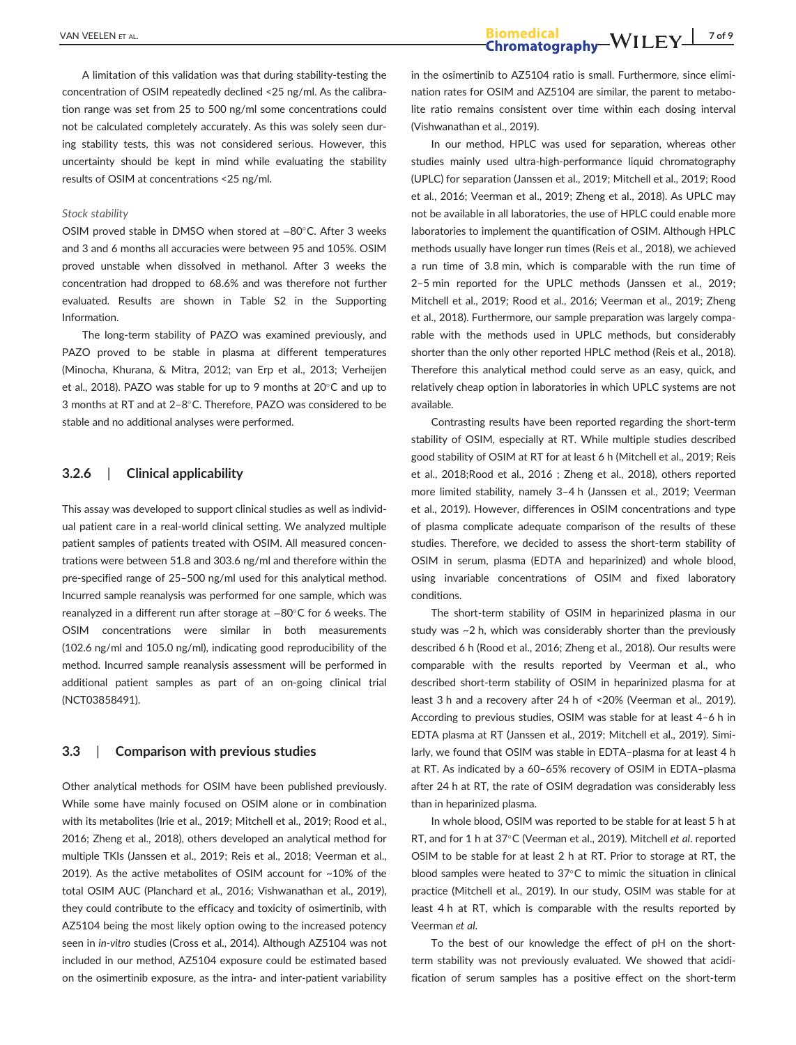A limitation of this validation was that during stability-testing the concentration of OSIM repeatedly declined <25 ng/ml. As the calibration range was set from 25 to 500 ng/ml some concentrations could not be calculated completely accurately. As this was solely seen during stability tests, this was not considered serious. However, this uncertainty should be kept in mind while evaluating the stability results of OSIM at concentrations <25 ng/ml.

#### *Stock stability*

OSIM proved stable in DMSO when stored at −80°C. After 3 weeks and 3 and 6 months all accuracies were between 95 and 105%. OSIM proved unstable when dissolved in methanol. After 3 weeks the concentration had dropped to 68.6% and was therefore not further evaluated. Results are shown in Table S2 in the Supporting Information.

The long-term stability of PAZO was examined previously, and PAZO proved to be stable in plasma at different temperatures (Minocha, Khurana, & Mitra, 2012; van Erp et al., 2013; Verheijen et al., 2018). PAZO was stable for up to 9 months at  $20^{\circ}$ C and up to 3 months at RT and at  $2-8^{\circ}$ C. Therefore, PAZO was considered to be stable and no additional analyses were performed.

## **3.2.6** | **Clinical applicability**

This assay was developed to support clinical studies as well as individual patient care in a real-world clinical setting. We analyzed multiple patient samples of patients treated with OSIM. All measured concentrations were between 51.8 and 303.6 ng/ml and therefore within the pre-specified range of 25–500 ng/ml used for this analytical method. Incurred sample reanalysis was performed for one sample, which was reanalyzed in a different run after storage at -80°C for 6 weeks. The OSIM concentrations were similar in both measurements (102.6 ng/ml and 105.0 ng/ml), indicating good reproducibility of the method. Incurred sample reanalysis assessment will be performed in additional patient samples as part of an on-going clinical trial (NCT03858491).

#### **3.3** | **Comparison with previous studies**

Other analytical methods for OSIM have been published previously. While some have mainly focused on OSIM alone or in combination with its metabolites (Irie et al., 2019; Mitchell et al., 2019; Rood et al., 2016; Zheng et al., 2018), others developed an analytical method for multiple TKIs (Janssen et al., 2019; Reis et al., 2018; Veerman et al., 2019). As the active metabolites of OSIM account for ~10% of the total OSIM AUC (Planchard et al., 2016; Vishwanathan et al., 2019), they could contribute to the efficacy and toxicity of osimertinib, with AZ5104 being the most likely option owing to the increased potency seen in *in-vitro* studies (Cross et al., 2014). Although AZ5104 was not included in our method, AZ5104 exposure could be estimated based on the osimertinib exposure, as the intra- and inter-patient variability in the osimertinib to AZ5104 ratio is small. Furthermore, since elimination rates for OSIM and AZ5104 are similar, the parent to metabolite ratio remains consistent over time within each dosing interval (Vishwanathan et al., 2019).

In our method, HPLC was used for separation, whereas other studies mainly used ultra-high-performance liquid chromatography (UPLC) for separation (Janssen et al., 2019; Mitchell et al., 2019; Rood et al., 2016; Veerman et al., 2019; Zheng et al., 2018). As UPLC may not be available in all laboratories, the use of HPLC could enable more laboratories to implement the quantification of OSIM. Although HPLC methods usually have longer run times (Reis et al., 2018), we achieved a run time of 3.8 min, which is comparable with the run time of 2–5 min reported for the UPLC methods (Janssen et al., 2019; Mitchell et al., 2019; Rood et al., 2016; Veerman et al., 2019; Zheng et al., 2018). Furthermore, our sample preparation was largely comparable with the methods used in UPLC methods, but considerably shorter than the only other reported HPLC method (Reis et al., 2018). Therefore this analytical method could serve as an easy, quick, and relatively cheap option in laboratories in which UPLC systems are not available.

Contrasting results have been reported regarding the short-term stability of OSIM, especially at RT. While multiple studies described good stability of OSIM at RT for at least 6 h (Mitchell et al., 2019; Reis et al., 2018;Rood et al., 2016 ; Zheng et al., 2018), others reported more limited stability, namely 3–4 h (Janssen et al., 2019; Veerman et al., 2019). However, differences in OSIM concentrations and type of plasma complicate adequate comparison of the results of these studies. Therefore, we decided to assess the short-term stability of OSIM in serum, plasma (EDTA and heparinized) and whole blood, using invariable concentrations of OSIM and fixed laboratory conditions.

The short-term stability of OSIM in heparinized plasma in our study was ~2 h, which was considerably shorter than the previously described 6 h (Rood et al., 2016; Zheng et al., 2018). Our results were comparable with the results reported by Veerman et al., who described short-term stability of OSIM in heparinized plasma for at least 3 h and a recovery after 24 h of <20% (Veerman et al., 2019). According to previous studies, OSIM was stable for at least 4–6 h in EDTA plasma at RT (Janssen et al., 2019; Mitchell et al., 2019). Similarly, we found that OSIM was stable in EDTA–plasma for at least 4 h at RT. As indicated by a 60–65% recovery of OSIM in EDTA–plasma after 24 h at RT, the rate of OSIM degradation was considerably less than in heparinized plasma.

In whole blood, OSIM was reported to be stable for at least 5 h at RT, and for 1 h at 37°C (Veerman et al., 2019). Mitchell *et al.* reported OSIM to be stable for at least 2 h at RT. Prior to storage at RT, the blood samples were heated to  $37^{\circ}$ C to mimic the situation in clinical practice (Mitchell et al., 2019). In our study, OSIM was stable for at least 4 h at RT, which is comparable with the results reported by Veerman *et al*.

To the best of our knowledge the effect of pH on the shortterm stability was not previously evaluated. We showed that acidification of serum samples has a positive effect on the short-term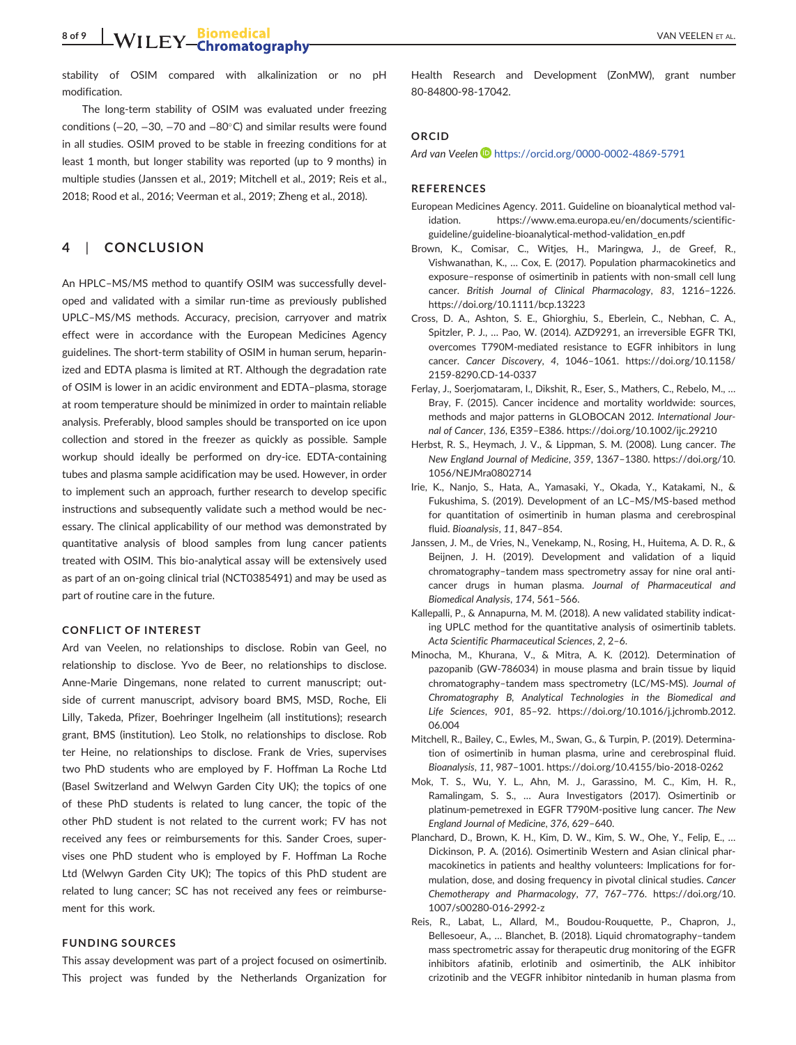stability of OSIM compared with alkalinization or no pH modification.

The long-term stability of OSIM was evaluated under freezing conditions (-20, -30, -70 and -80°C) and similar results were found in all studies. OSIM proved to be stable in freezing conditions for at least 1 month, but longer stability was reported (up to 9 months) in multiple studies (Janssen et al., 2019; Mitchell et al., 2019; Reis et al., 2018; Rood et al., 2016; Veerman et al., 2019; Zheng et al., 2018).

## **4** | **CONCLUSION**

An HPLC–MS/MS method to quantify OSIM was successfully developed and validated with a similar run-time as previously published UPLC–MS/MS methods. Accuracy, precision, carryover and matrix effect were in accordance with the European Medicines Agency guidelines. The short-term stability of OSIM in human serum, heparinized and EDTA plasma is limited at RT. Although the degradation rate of OSIM is lower in an acidic environment and EDTA–plasma, storage at room temperature should be minimized in order to maintain reliable analysis. Preferably, blood samples should be transported on ice upon collection and stored in the freezer as quickly as possible. Sample workup should ideally be performed on dry-ice. EDTA-containing tubes and plasma sample acidification may be used. However, in order to implement such an approach, further research to develop specific instructions and subsequently validate such a method would be necessary. The clinical applicability of our method was demonstrated by quantitative analysis of blood samples from lung cancer patients treated with OSIM. This bio-analytical assay will be extensively used as part of an on-going clinical trial (NCT0385491) and may be used as part of routine care in the future.

### **CONFLICT OF INTEREST**

Ard van Veelen, no relationships to disclose. Robin van Geel, no relationship to disclose. Yvo de Beer, no relationships to disclose. Anne-Marie Dingemans, none related to current manuscript; outside of current manuscript, advisory board BMS, MSD, Roche, Eli Lilly, Takeda, Pfizer, Boehringer Ingelheim (all institutions); research grant, BMS (institution). Leo Stolk, no relationships to disclose. Rob ter Heine, no relationships to disclose. Frank de Vries, supervises two PhD students who are employed by F. Hoffman La Roche Ltd (Basel Switzerland and Welwyn Garden City UK); the topics of one of these PhD students is related to lung cancer, the topic of the other PhD student is not related to the current work; FV has not received any fees or reimbursements for this. Sander Croes, supervises one PhD student who is employed by F. Hoffman La Roche Ltd (Welwyn Garden City UK); The topics of this PhD student are related to lung cancer; SC has not received any fees or reimbursement for this work.

## **FUNDING SOURCES**

This assay development was part of a project focused on osimertinib. This project was funded by the Netherlands Organization for Health Research and Development (ZonMW), grant number 80-84800-98-17042.

#### **ORCID**

*Ard van Veelen* <https://orcid.org/0000-0002-4869-5791>

## **REFERENCES**

- European Medicines Agency. 2011. Guideline on bioanalytical method validation. [https://www.ema.europa.eu/en/documents/scientific](https://www.ema.europa.eu/en/documents/scientific-guideline/guideline-bioanalytical-method-validation_en.pdf)[guideline/guideline-bioanalytical-method-validation\\_en.pdf](https://www.ema.europa.eu/en/documents/scientific-guideline/guideline-bioanalytical-method-validation_en.pdf)
- Brown, K., Comisar, C., Witjes, H., Maringwa, J., de Greef, R., Vishwanathan, K., … Cox, E. (2017). Population pharmacokinetics and exposure–response of osimertinib in patients with non-small cell lung cancer. *British Journal of Clinical Pharmacology*, *83*, 1216–1226. <https://doi.org/10.1111/bcp.13223>
- Cross, D. A., Ashton, S. E., Ghiorghiu, S., Eberlein, C., Nebhan, C. A., Spitzler, P. J., … Pao, W. (2014). AZD9291, an irreversible EGFR TKI, overcomes T790M-mediated resistance to EGFR inhibitors in lung cancer. *Cancer Discovery*, *4*, 1046–1061. [https://doi.org/10.1158/](https://doi.org/10.1158/2159-8290.CD-14-0337) [2159-8290.CD-14-0337](https://doi.org/10.1158/2159-8290.CD-14-0337)
- Ferlay, J., Soerjomataram, I., Dikshit, R., Eser, S., Mathers, C., Rebelo, M., … Bray, F. (2015). Cancer incidence and mortality worldwide: sources, methods and major patterns in GLOBOCAN 2012. *International Journal of Cancer*, *136*, E359–E386.<https://doi.org/10.1002/ijc.29210>
- Herbst, R. S., Heymach, J. V., & Lippman, S. M. (2008). Lung cancer. *The New England Journal of Medicine*, *359*, 1367–1380. [https://doi.org/10.](https://doi.org/10.1056/NEJMra0802714) [1056/NEJMra0802714](https://doi.org/10.1056/NEJMra0802714)
- Irie, K., Nanjo, S., Hata, A., Yamasaki, Y., Okada, Y., Katakami, N., & Fukushima, S. (2019). Development of an LC–MS/MS-based method for quantitation of osimertinib in human plasma and cerebrospinal fluid. *Bioanalysis*, *11*, 847–854.
- Janssen, J. M., de Vries, N., Venekamp, N., Rosing, H., Huitema, A. D. R., & Beijnen, J. H. (2019). Development and validation of a liquid chromatography–tandem mass spectrometry assay for nine oral anticancer drugs in human plasma. *Journal of Pharmaceutical and Biomedical Analysis*, *174*, 561–566.
- Kallepalli, P., & Annapurna, M. M. (2018). A new validated stability indicating UPLC method for the quantitative analysis of osimertinib tablets. *Acta Scientific Pharmaceutical Sciences*, *2*, 2–6.
- Minocha, M., Khurana, V., & Mitra, A. K. (2012). Determination of pazopanib (GW-786034) in mouse plasma and brain tissue by liquid chromatography–tandem mass spectrometry (LC/MS-MS). *Journal of Chromatography B, Analytical Technologies in the Biomedical and Life Sciences*, *901*, 85–92. [https://doi.org/10.1016/j.jchromb.2012.](https://doi.org/10.1016/j.jchromb.2012.06.004) [06.004](https://doi.org/10.1016/j.jchromb.2012.06.004)
- Mitchell, R., Bailey, C., Ewles, M., Swan, G., & Turpin, P. (2019). Determination of osimertinib in human plasma, urine and cerebrospinal fluid. *Bioanalysis*, *11*, 987–1001.<https://doi.org/10.4155/bio-2018-0262>
- Mok, T. S., Wu, Y. L., Ahn, M. J., Garassino, M. C., Kim, H. R., Ramalingam, S. S., … Aura Investigators (2017). Osimertinib or platinum-pemetrexed in EGFR T790M-positive lung cancer. *The New England Journal of Medicine*, *376*, 629–640.
- Planchard, D., Brown, K. H., Kim, D. W., Kim, S. W., Ohe, Y., Felip, E., … Dickinson, P. A. (2016). Osimertinib Western and Asian clinical pharmacokinetics in patients and healthy volunteers: Implications for formulation, dose, and dosing frequency in pivotal clinical studies. *Cancer Chemotherapy and Pharmacology*, *77*, 767–776. [https://doi.org/10.](https://doi.org/10.1007/s00280-016-2992-z) [1007/s00280-016-2992-z](https://doi.org/10.1007/s00280-016-2992-z)
- Reis, R., Labat, L., Allard, M., Boudou-Rouquette, P., Chapron, J., Bellesoeur, A., … Blanchet, B. (2018). Liquid chromatography–tandem mass spectrometric assay for therapeutic drug monitoring of the EGFR inhibitors afatinib, erlotinib and osimertinib, the ALK inhibitor crizotinib and the VEGFR inhibitor nintedanib in human plasma from